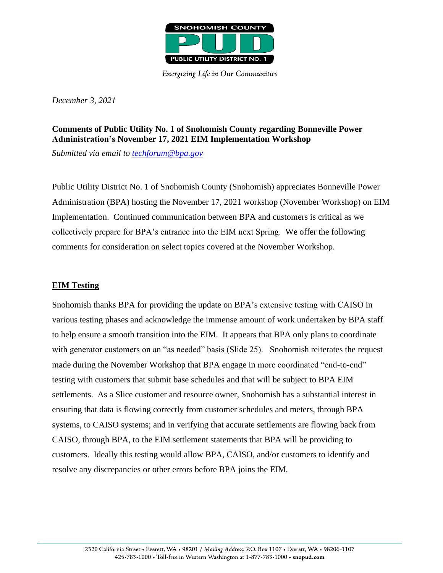

**Energizing Life in Our Communities** 

*December 3, 2021*

# **Comments of Public Utility No. 1 of Snohomish County regarding Bonneville Power Administration's November 17, 2021 EIM Implementation Workshop**

*Submitted via email to [techforum@bpa.gov](mailto:techforum@bpa.gov)*

Public Utility District No. 1 of Snohomish County (Snohomish) appreciates Bonneville Power Administration (BPA) hosting the November 17, 2021 workshop (November Workshop) on EIM Implementation. Continued communication between BPA and customers is critical as we collectively prepare for BPA's entrance into the EIM next Spring. We offer the following comments for consideration on select topics covered at the November Workshop.

### **EIM Testing**

Snohomish thanks BPA for providing the update on BPA's extensive testing with CAISO in various testing phases and acknowledge the immense amount of work undertaken by BPA staff to help ensure a smooth transition into the EIM. It appears that BPA only plans to coordinate with generator customers on an "as needed" basis (Slide 25). Snohomish reiterates the request made during the November Workshop that BPA engage in more coordinated "end-to-end" testing with customers that submit base schedules and that will be subject to BPA EIM settlements. As a Slice customer and resource owner, Snohomish has a substantial interest in ensuring that data is flowing correctly from customer schedules and meters, through BPA systems, to CAISO systems; and in verifying that accurate settlements are flowing back from CAISO, through BPA, to the EIM settlement statements that BPA will be providing to customers. Ideally this testing would allow BPA, CAISO, and/or customers to identify and resolve any discrepancies or other errors before BPA joins the EIM.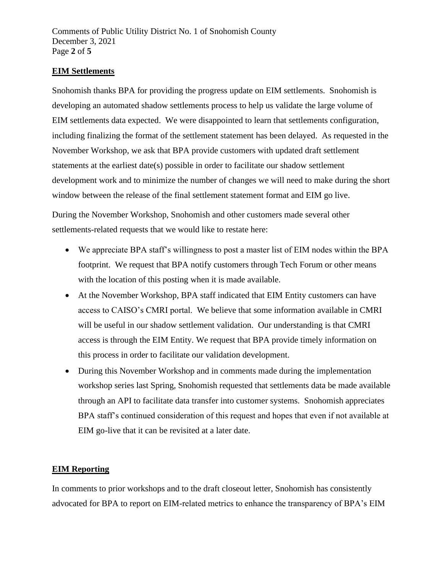Comments of Public Utility District No. 1 of Snohomish County December 3, 2021 Page **2** of **5**

## **EIM Settlements**

Snohomish thanks BPA for providing the progress update on EIM settlements. Snohomish is developing an automated shadow settlements process to help us validate the large volume of EIM settlements data expected. We were disappointed to learn that settlements configuration, including finalizing the format of the settlement statement has been delayed. As requested in the November Workshop, we ask that BPA provide customers with updated draft settlement statements at the earliest date(s) possible in order to facilitate our shadow settlement development work and to minimize the number of changes we will need to make during the short window between the release of the final settlement statement format and EIM go live.

During the November Workshop, Snohomish and other customers made several other settlements-related requests that we would like to restate here:

- We appreciate BPA staff's willingness to post a master list of EIM nodes within the BPA footprint. We request that BPA notify customers through Tech Forum or other means with the location of this posting when it is made available.
- At the November Workshop, BPA staff indicated that EIM Entity customers can have access to CAISO's CMRI portal. We believe that some information available in CMRI will be useful in our shadow settlement validation. Our understanding is that CMRI access is through the EIM Entity. We request that BPA provide timely information on this process in order to facilitate our validation development.
- During this November Workshop and in comments made during the implementation workshop series last Spring, Snohomish requested that settlements data be made available through an API to facilitate data transfer into customer systems. Snohomish appreciates BPA staff's continued consideration of this request and hopes that even if not available at EIM go-live that it can be revisited at a later date.

## **EIM Reporting**

In comments to prior workshops and to the draft closeout letter, Snohomish has consistently advocated for BPA to report on EIM-related metrics to enhance the transparency of BPA's EIM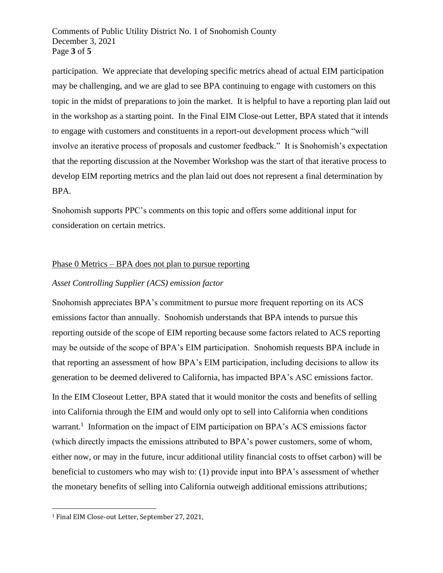Comments of Public Utility District No. 1 of Snohomish County December 3, 2021 Page **3** of **5**

participation. We appreciate that developing specific metrics ahead of actual EIM participation may be challenging, and we are glad to see BPA continuing to engage with customers on this topic in the midst of preparations to join the market. It is helpful to have a reporting plan laid out in the workshop as a starting point. In the Final EIM Close-out Letter, BPA stated that it intends to engage with customers and constituents in a report-out development process which "will involve an iterative process of proposals and customer feedback." It is Snohomish's expectation that the reporting discussion at the November Workshop was the start of that iterative process to develop EIM reporting metrics and the plan laid out does not represent a final determination by BPA.

Snohomish supports PPC's comments on this topic and offers some additional input for consideration on certain metrics.

### Phase 0 Metrics – BPA does not plan to pursue reporting

### *Asset Controlling Supplier (ACS) emission factor*

Snohomish appreciates BPA's commitment to pursue more frequent reporting on its ACS emissions factor than annually. Snohomish understands that BPA intends to pursue this reporting outside of the scope of EIM reporting because some factors related to ACS reporting may be outside of the scope of BPA's EIM participation. Snohomish requests BPA include in that reporting an assessment of how BPA's EIM participation, including decisions to allow its generation to be deemed delivered to California, has impacted BPA's ASC emissions factor.

In the EIM Closeout Letter, BPA stated that it would monitor the costs and benefits of selling into California through the EIM and would only opt to sell into California when conditions warrant.<sup>1</sup> Information on the impact of EIM participation on BPA's ACS emissions factor (which directly impacts the emissions attributed to BPA's power customers, some of whom, either now, or may in the future, incur additional utility financial costs to offset carbon) will be beneficial to customers who may wish to: (1) provide input into BPA's assessment of whether the monetary benefits of selling into California outweigh additional emissions attributions;

<sup>1</sup> Final EIM Close-out Letter, September 27, 2021,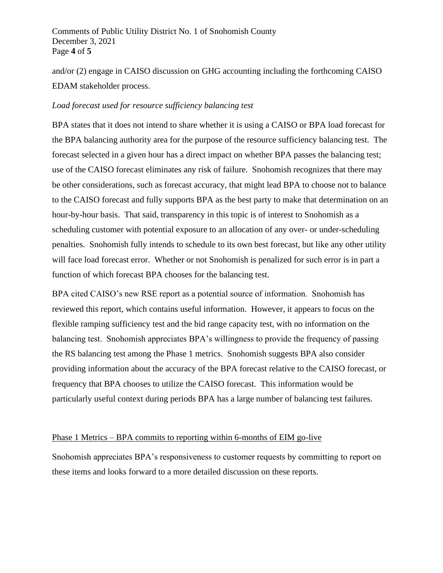### Comments of Public Utility District No. 1 of Snohomish County December 3, 2021 Page **4** of **5**

and/or (2) engage in CAISO discussion on GHG accounting including the forthcoming CAISO EDAM stakeholder process.

#### *Load forecast used for resource sufficiency balancing test*

BPA states that it does not intend to share whether it is using a CAISO or BPA load forecast for the BPA balancing authority area for the purpose of the resource sufficiency balancing test. The forecast selected in a given hour has a direct impact on whether BPA passes the balancing test; use of the CAISO forecast eliminates any risk of failure. Snohomish recognizes that there may be other considerations, such as forecast accuracy, that might lead BPA to choose not to balance to the CAISO forecast and fully supports BPA as the best party to make that determination on an hour-by-hour basis. That said, transparency in this topic is of interest to Snohomish as a scheduling customer with potential exposure to an allocation of any over- or under-scheduling penalties. Snohomish fully intends to schedule to its own best forecast, but like any other utility will face load forecast error. Whether or not Snohomish is penalized for such error is in part a function of which forecast BPA chooses for the balancing test.

BPA cited CAISO's new RSE report as a potential source of information. Snohomish has reviewed this report, which contains useful information. However, it appears to focus on the flexible ramping sufficiency test and the bid range capacity test, with no information on the balancing test. Snohomish appreciates BPA's willingness to provide the frequency of passing the RS balancing test among the Phase 1 metrics. Snohomish suggests BPA also consider providing information about the accuracy of the BPA forecast relative to the CAISO forecast, or frequency that BPA chooses to utilize the CAISO forecast. This information would be particularly useful context during periods BPA has a large number of balancing test failures.

#### Phase 1 Metrics – BPA commits to reporting within 6-months of EIM go-live

Snohomish appreciates BPA's responsiveness to customer requests by committing to report on these items and looks forward to a more detailed discussion on these reports.